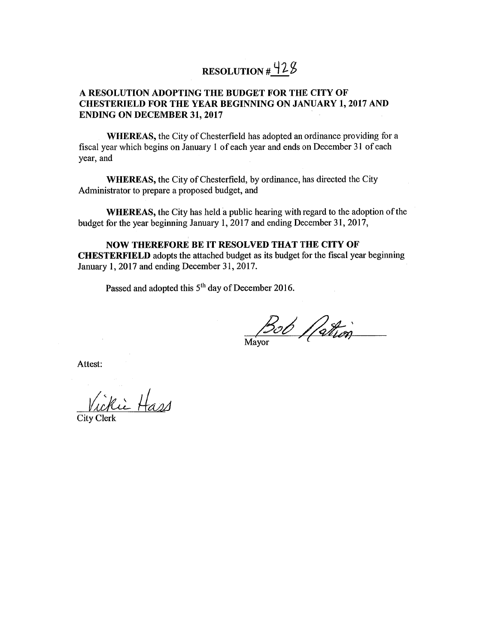# RESOLUTION  $\frac{\sqrt{2}}{2}$

#### A RESOLUTION ADOPTING THE BUDGET FOR THE CITY OF **CHESTERIELD FOR THE YEAR BEGINNING ON JANUARY 1, 2017 AND ENDING ON DECEMBER 31, 2017**

**WHEREAS**, the City of Chesterfield has adopted an ordinance providing for a fiscal year which begins on January 1 of each year and ends on December 31 of each year, and

**WHEREAS**, the City of Chesterfield, by ordinance, has directed the City Administrator to prepare a proposed budget, and

**WHEREAS**, the City has held a public hearing with regard to the adoption of the budget for the year beginning January 1, 2017 and ending December 31, 2017,

**NOW THEREFORE BE IT RESOLVED THAT THE CITY OF CHESTERFIELD** adopts the attached budget as its budget for the fiscal year beginning January 1, 2017 and ending December 31, 2017.

Passed and adopted this 5<sup>th</sup> day of December 2016.

Bob / Cathon

Attest:

Vickie Hass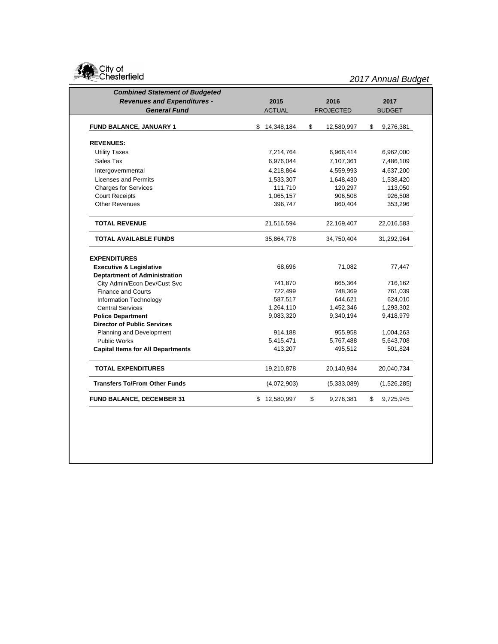

| <b>Combined Statement of Budgeted</b>    |                  |                  |                 |
|------------------------------------------|------------------|------------------|-----------------|
| <b>Revenues and Expenditures -</b>       | 2015             | 2016             | 2017            |
| <b>General Fund</b>                      | <b>ACTUAL</b>    | <b>PROJECTED</b> | <b>BUDGET</b>   |
| <b>FUND BALANCE, JANUARY 1</b>           | \$<br>14,348,184 | \$<br>12,580,997 | \$<br>9,276,381 |
|                                          |                  |                  |                 |
| <b>REVENUES:</b>                         |                  |                  |                 |
| <b>Utility Taxes</b>                     | 7,214,764        | 6,966,414        | 6,962,000       |
| Sales Tax                                | 6,976,044        | 7,107,361        | 7,486,109       |
| Intergovernmental                        | 4,218,864        | 4,559,993        | 4,637,200       |
| <b>Licenses and Permits</b>              | 1,533,307        | 1,648,430        | 1,538,420       |
| <b>Charges for Services</b>              | 111,710          | 120,297          | 113,050         |
| <b>Court Receipts</b>                    | 1,065,157        | 906,508          | 926,508         |
| <b>Other Revenues</b>                    | 396,747          | 860,404          | 353,296         |
| <b>TOTAL REVENUE</b>                     | 21,516,594       | 22,169,407       | 22,016,583      |
| <b>TOTAL AVAILABLE FUNDS</b>             | 35,864,778       | 34,750,404       | 31,292,964      |
| <b>EXPENDITURES</b>                      |                  |                  |                 |
| <b>Executive &amp; Legislative</b>       | 68,696           | 71,082           | 77,447          |
| <b>Deptartment of Administration</b>     |                  |                  |                 |
| City Admin/Econ Dev/Cust Svc             | 741,870          | 665,364          | 716,162         |
| <b>Finance and Courts</b>                | 722,499          | 748,369          | 761,039         |
| Information Technology                   | 587,517          | 644,621          | 624,010         |
| <b>Central Services</b>                  | 1,264,110        | 1,452,346        | 1,293,302       |
| <b>Police Department</b>                 | 9,083,320        | 9,340,194        | 9,418,979       |
| <b>Director of Public Services</b>       |                  |                  |                 |
| Planning and Development                 | 914,188          | 955,958          | 1,004,263       |
| <b>Public Works</b>                      | 5,415,471        | 5,767,488        | 5,643,708       |
| <b>Capital Items for All Departments</b> | 413,207          | 495,512          | 501,824         |
| <b>TOTAL EXPENDITURES</b>                | 19,210,878       | 20,140,934       | 20,040,734      |
|                                          |                  |                  | (1,526,285)     |
| <b>Transfers To/From Other Funds</b>     | (4,072,903)      | (5,333,089)      |                 |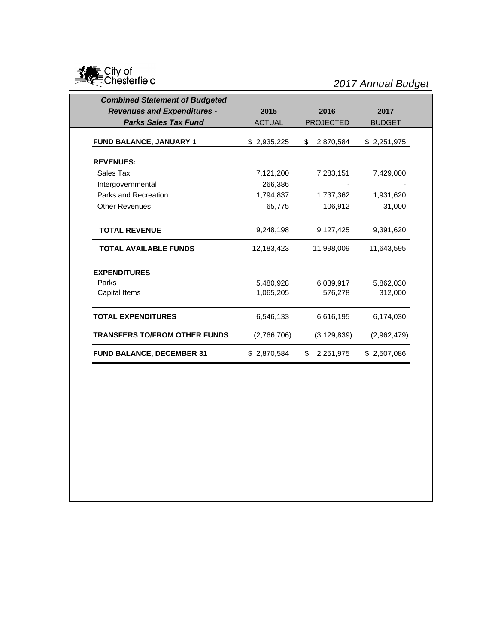

| <b>Combined Statement of Budgeted</b> |               |                  |               |
|---------------------------------------|---------------|------------------|---------------|
| <b>Revenues and Expenditures -</b>    | 2015          | 2016             | 2017          |
| <b>Parks Sales Tax Fund</b>           | <b>ACTUAL</b> | <b>PROJECTED</b> | <b>BUDGET</b> |
| FUND BALANCE, JANUARY 1               | \$2,935,225   | 2,870,584<br>\$  | \$2,251,975   |
| <b>REVENUES:</b>                      |               |                  |               |
| Sales Tax                             | 7,121,200     | 7,283,151        | 7,429,000     |
| Intergovernmental                     | 266,386       |                  |               |
| Parks and Recreation                  | 1,794,837     | 1,737,362        | 1,931,620     |
| <b>Other Revenues</b>                 | 65,775        | 106,912          | 31,000        |
| <b>TOTAL REVENUE</b>                  | 9,248,198     | 9,127,425        | 9,391,620     |
| <b>TOTAL AVAILABLE FUNDS</b>          | 12,183,423    | 11,998,009       | 11,643,595    |
| <b>EXPENDITURES</b>                   |               |                  |               |
| Parks                                 | 5,480,928     | 6,039,917        | 5,862,030     |
| Capital Items                         | 1,065,205     | 576,278          | 312,000       |
| <b>TOTAL EXPENDITURES</b>             | 6,546,133     | 6,616,195        | 6,174,030     |
| <b>TRANSFERS TO/FROM OTHER FUNDS</b>  | (2,766,706)   | (3, 129, 839)    | (2,962,479)   |
| <b>FUND BALANCE, DECEMBER 31</b>      | \$2,870,584   | \$<br>2,251,975  | \$2,507,086   |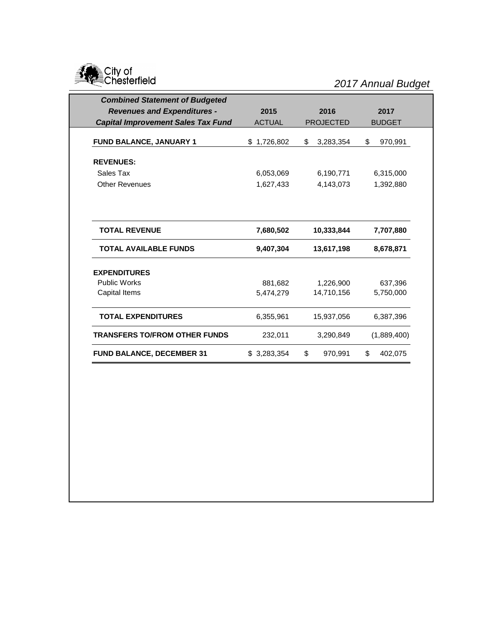

| <b>Combined Statement of Budgeted</b>     |               |                  |               |
|-------------------------------------------|---------------|------------------|---------------|
| <b>Revenues and Expenditures -</b>        | 2015          | 2016             | 2017          |
| <b>Capital Improvement Sales Tax Fund</b> | <b>ACTUAL</b> | <b>PROJECTED</b> | <b>BUDGET</b> |
|                                           |               |                  |               |
| FUND BALANCE, JANUARY 1                   | \$1,726,802   | \$<br>3,283,354  | \$<br>970,991 |
| <b>REVENUES:</b>                          |               |                  |               |
| Sales Tax                                 | 6,053,069     | 6,190,771        | 6,315,000     |
| <b>Other Revenues</b>                     | 1,627,433     | 4,143,073        | 1,392,880     |
| <b>TOTAL REVENUE</b>                      | 7,680,502     | 10,333,844       | 7,707,880     |
| <b>TOTAL AVAILABLE FUNDS</b>              | 9,407,304     | 13,617,198       | 8,678,871     |
| <b>EXPENDITURES</b>                       |               |                  |               |
| <b>Public Works</b>                       | 881,682       | 1,226,900        | 637,396       |
| Capital Items                             | 5,474,279     | 14,710,156       | 5,750,000     |
| <b>TOTAL EXPENDITURES</b>                 | 6,355,961     | 15,937,056       | 6,387,396     |
| <b>TRANSFERS TO/FROM OTHER FUNDS</b>      | 232,011       | 3,290,849        | (1,889,400)   |
| <b>FUND BALANCE, DECEMBER 31</b>          | \$3,283,354   | \$<br>970,991    | \$<br>402,075 |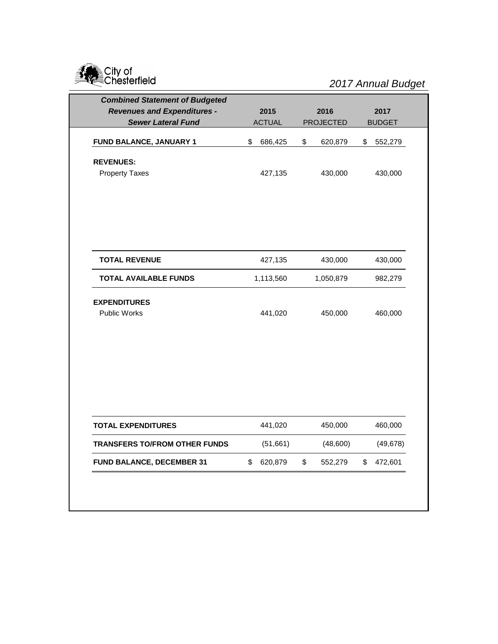

| 2015<br><b>ACTUAL</b><br>\$<br>686,425 | 2016<br><b>PROJECTED</b><br>\$<br>620,879 | 2017<br><b>BUDGET</b> |
|----------------------------------------|-------------------------------------------|-----------------------|
|                                        |                                           |                       |
|                                        |                                           |                       |
|                                        |                                           | \$<br>552,279         |
|                                        |                                           |                       |
| 427,135                                | 430,000                                   | 430,000               |
|                                        |                                           |                       |
|                                        |                                           |                       |
| 427,135                                | 430,000                                   | 430,000               |
| 1,113,560                              | 1,050,879                                 | 982,279               |
|                                        |                                           |                       |
| 441,020                                | 450,000                                   | 460,000               |
|                                        |                                           |                       |
|                                        |                                           |                       |
|                                        |                                           |                       |
| 441,020                                | 450,000                                   | 460,000               |
| (51,661)                               | (48,600)                                  | (49, 678)             |
| \$<br>620,879                          | \$<br>552,279                             | \$<br>472,601         |
|                                        |                                           |                       |
|                                        |                                           |                       |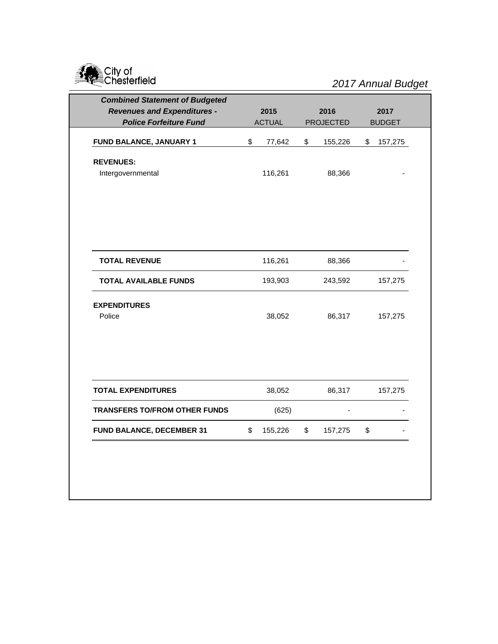

| <b>Revenues and Expenditures -</b><br>2015<br>2016<br>2017<br><b>Police Forfeiture Fund</b><br><b>ACTUAL</b><br><b>PROJECTED</b><br><b>BUDGET</b><br>\$<br>\$<br>155,226<br>FUND BALANCE, JANUARY 1<br>77,642<br>\$<br><b>REVENUES:</b><br>116,261<br>88,366<br>Intergovernmental<br>116,261<br>88,366<br><b>TOTAL REVENUE</b><br><b>TOTAL AVAILABLE FUNDS</b><br>193,903<br>243,592<br><b>EXPENDITURES</b><br>Police<br>38,052<br>86,317<br>38,052<br>86,317<br><b>TOTAL EXPENDITURES</b><br><b>TRANSFERS TO/FROM OTHER FUNDS</b><br>(625) | <b>Combined Statement of Budgeted</b> |    |         |    |         |    |         |  |
|---------------------------------------------------------------------------------------------------------------------------------------------------------------------------------------------------------------------------------------------------------------------------------------------------------------------------------------------------------------------------------------------------------------------------------------------------------------------------------------------------------------------------------------------|---------------------------------------|----|---------|----|---------|----|---------|--|
|                                                                                                                                                                                                                                                                                                                                                                                                                                                                                                                                             |                                       |    |         |    |         |    |         |  |
|                                                                                                                                                                                                                                                                                                                                                                                                                                                                                                                                             |                                       |    |         |    |         |    |         |  |
|                                                                                                                                                                                                                                                                                                                                                                                                                                                                                                                                             |                                       |    |         |    |         |    | 157,275 |  |
|                                                                                                                                                                                                                                                                                                                                                                                                                                                                                                                                             |                                       |    |         |    |         |    |         |  |
|                                                                                                                                                                                                                                                                                                                                                                                                                                                                                                                                             |                                       |    |         |    |         |    |         |  |
|                                                                                                                                                                                                                                                                                                                                                                                                                                                                                                                                             |                                       |    |         |    |         |    |         |  |
|                                                                                                                                                                                                                                                                                                                                                                                                                                                                                                                                             |                                       |    |         |    |         |    |         |  |
|                                                                                                                                                                                                                                                                                                                                                                                                                                                                                                                                             |                                       |    |         |    |         |    | 157,275 |  |
|                                                                                                                                                                                                                                                                                                                                                                                                                                                                                                                                             |                                       |    |         |    |         |    | 157,275 |  |
|                                                                                                                                                                                                                                                                                                                                                                                                                                                                                                                                             |                                       |    |         |    |         |    |         |  |
|                                                                                                                                                                                                                                                                                                                                                                                                                                                                                                                                             |                                       |    |         |    |         |    | 157,275 |  |
|                                                                                                                                                                                                                                                                                                                                                                                                                                                                                                                                             |                                       |    |         |    |         |    |         |  |
|                                                                                                                                                                                                                                                                                                                                                                                                                                                                                                                                             | FUND BALANCE, DECEMBER 31             | \$ | 155,226 | \$ | 157,275 | \$ |         |  |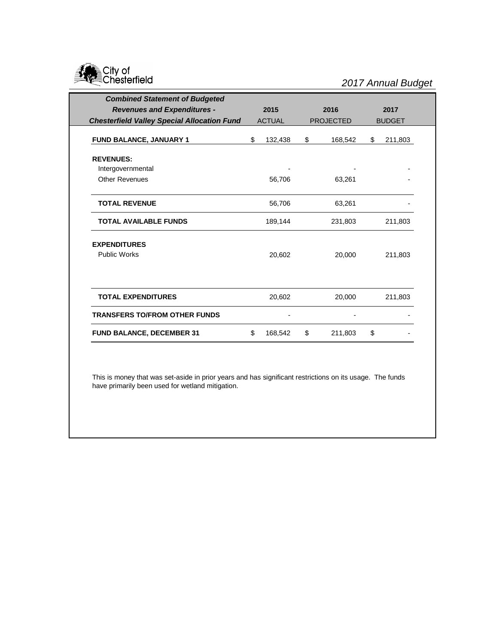

| <b>Combined Statement of Budgeted</b>              |               |                  |               |
|----------------------------------------------------|---------------|------------------|---------------|
| <b>Revenues and Expenditures -</b>                 | 2015          | 2016             | 2017          |
| <b>Chesterfield Valley Special Allocation Fund</b> | <b>ACTUAL</b> | <b>PROJECTED</b> | <b>BUDGET</b> |
| FUND BALANCE, JANUARY 1                            | \$<br>132,438 | \$<br>168,542    | \$<br>211,803 |
| <b>REVENUES:</b>                                   |               |                  |               |
| Intergovernmental                                  |               |                  |               |
| Other Revenues                                     | 56,706        | 63,261           |               |
| <b>TOTAL REVENUE</b>                               | 56,706        | 63,261           |               |
| <b>TOTAL AVAILABLE FUNDS</b>                       | 189,144       | 231,803          | 211,803       |
| <b>EXPENDITURES</b>                                |               |                  |               |
| <b>Public Works</b>                                | 20,602        | 20,000           | 211,803       |
|                                                    |               |                  |               |
| <b>TOTAL EXPENDITURES</b>                          | 20,602        | 20,000           | 211,803       |
| <b>TRANSFERS TO/FROM OTHER FUNDS</b>               |               |                  |               |
| <b>FUND BALANCE, DECEMBER 31</b>                   | \$<br>168,542 | \$<br>211,803    | \$            |

This is money that was set-aside in prior years and has significant restrictions on its usage. The funds have primarily been used for wetland mitigation.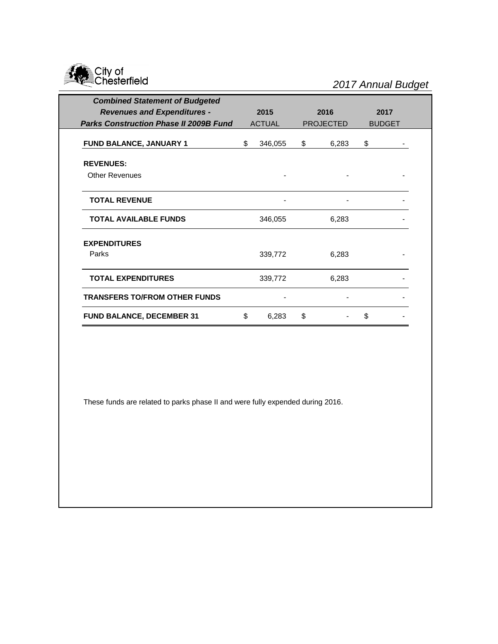

| <b>Combined Statement of Budgeted</b>         |               |                  |               |
|-----------------------------------------------|---------------|------------------|---------------|
| <b>Revenues and Expenditures -</b>            | 2015          | 2016             | 2017          |
| <b>Parks Construction Phase II 2009B Fund</b> | <b>ACTUAL</b> | <b>PROJECTED</b> | <b>BUDGET</b> |
| <b>FUND BALANCE, JANUARY 1</b>                | \$<br>346,055 | \$<br>6,283      | \$            |
| <b>REVENUES:</b>                              |               |                  |               |
| <b>Other Revenues</b>                         |               |                  |               |
| <b>TOTAL REVENUE</b>                          |               |                  |               |
| <b>TOTAL AVAILABLE FUNDS</b>                  | 346,055       | 6,283            |               |
| <b>EXPENDITURES</b><br>Parks                  | 339,772       | 6,283            |               |
| <b>TOTAL EXPENDITURES</b>                     | 339,772       | 6,283            |               |
| <b>TRANSFERS TO/FROM OTHER FUNDS</b>          |               |                  |               |
| <b>FUND BALANCE, DECEMBER 31</b>              | \$<br>6,283   | \$               | \$            |

These funds are related to parks phase II and were fully expended during 2016.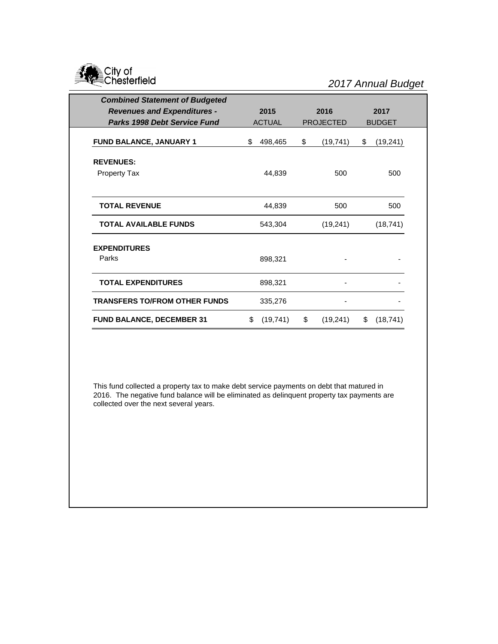

| <b>Combined Statement of Budgeted</b> |    |               |                  |      |               |  |
|---------------------------------------|----|---------------|------------------|------|---------------|--|
| <b>Revenues and Expenditures -</b>    |    | 2015          | 2016             | 2017 |               |  |
| <b>Parks 1998 Debt Service Fund</b>   |    | <b>ACTUAL</b> | <b>PROJECTED</b> |      | <b>BUDGET</b> |  |
| FUND BALANCE, JANUARY 1               |    | 498,465       | \$<br>(19, 741)  | \$   | (19, 241)     |  |
| <b>REVENUES:</b>                      |    |               |                  |      |               |  |
| <b>Property Tax</b>                   |    | 44,839        | 500              |      | 500           |  |
| <b>TOTAL REVENUE</b>                  |    | 44,839        | 500              |      | 500           |  |
| <b>TOTAL AVAILABLE FUNDS</b>          |    | 543,304       | (19, 241)        |      | (18, 741)     |  |
| <b>EXPENDITURES</b><br>Parks          |    | 898,321       |                  |      |               |  |
| <b>TOTAL EXPENDITURES</b>             |    | 898,321       |                  |      |               |  |
| <b>TRANSFERS TO/FROM OTHER FUNDS</b>  |    | 335,276       |                  |      |               |  |
| <b>FUND BALANCE, DECEMBER 31</b>      | \$ | (19, 741)     | \$<br>(19, 241)  | \$   | (18, 741)     |  |

This fund collected a property tax to make debt service payments on debt that matured in 2016. The negative fund balance will be eliminated as delinquent property tax payments are collected over the next several years.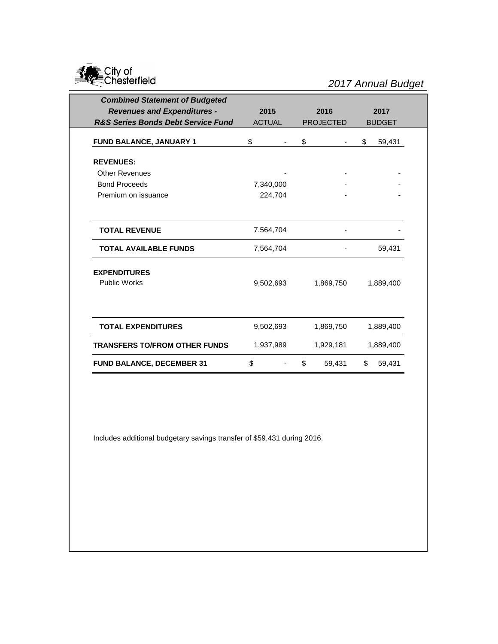

| <b>Combined Statement of Budgeted</b>         |               |         |    |                  |    |               |  |  |  |      |      |  |
|-----------------------------------------------|---------------|---------|----|------------------|----|---------------|--|--|--|------|------|--|
| <b>Revenues and Expenditures -</b>            | 2015          |         |    |                  |    |               |  |  |  | 2016 | 2017 |  |
| <b>R&amp;S Series Bonds Debt Service Fund</b> | <b>ACTUAL</b> |         |    | <b>PROJECTED</b> |    | <b>BUDGET</b> |  |  |  |      |      |  |
| FUND BALANCE, JANUARY 1                       | \$            |         | \$ | ۰                | \$ | 59,431        |  |  |  |      |      |  |
| <b>REVENUES:</b>                              |               |         |    |                  |    |               |  |  |  |      |      |  |
| <b>Other Revenues</b>                         |               |         |    |                  |    |               |  |  |  |      |      |  |
| <b>Bond Proceeds</b>                          | 7,340,000     |         |    |                  |    |               |  |  |  |      |      |  |
| Premium on issuance                           |               | 224,704 |    |                  |    |               |  |  |  |      |      |  |
| <b>TOTAL REVENUE</b>                          | 7,564,704     |         |    |                  |    |               |  |  |  |      |      |  |
| <b>TOTAL AVAILABLE FUNDS</b>                  | 7,564,704     |         |    |                  |    | 59,431        |  |  |  |      |      |  |
| <b>EXPENDITURES</b><br><b>Public Works</b>    | 9,502,693     |         |    | 1,869,750        |    | 1,889,400     |  |  |  |      |      |  |
| <b>TOTAL EXPENDITURES</b>                     | 9,502,693     |         |    | 1,869,750        |    | 1,889,400     |  |  |  |      |      |  |
| <b>TRANSFERS TO/FROM OTHER FUNDS</b>          | 1,937,989     |         |    | 1,929,181        |    | 1,889,400     |  |  |  |      |      |  |
| <b>FUND BALANCE, DECEMBER 31</b>              | \$            |         | \$ | 59,431           | \$ | 59,431        |  |  |  |      |      |  |

Includes additional budgetary savings transfer of \$59,431 during 2016.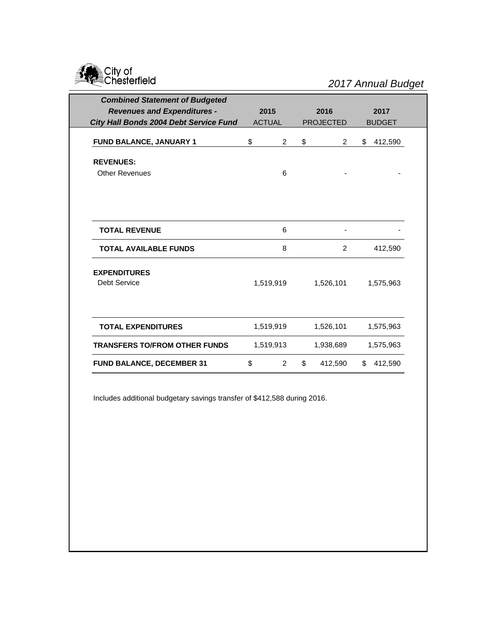

| <b>Combined Statement of Budgeted</b>      |               |                |    |                  |    |               |
|--------------------------------------------|---------------|----------------|----|------------------|----|---------------|
| <b>Revenues and Expenditures -</b>         | 2015<br>2016  |                |    | 2017             |    |               |
| City Hall Bonds 2004 Debt Service Fund     | <b>ACTUAL</b> |                |    | <b>PROJECTED</b> |    | <b>BUDGET</b> |
| FUND BALANCE, JANUARY 1                    | \$            | $\overline{2}$ | \$ | $\overline{2}$   | \$ | 412,590       |
| <b>REVENUES:</b>                           |               |                |    |                  |    |               |
| <b>Other Revenues</b>                      |               | 6              |    |                  |    |               |
|                                            |               |                |    |                  |    |               |
| <b>TOTAL REVENUE</b>                       |               | 6              |    |                  |    |               |
| <b>TOTAL AVAILABLE FUNDS</b>               |               | 8              |    | 2                |    | 412,590       |
| <b>EXPENDITURES</b><br><b>Debt Service</b> |               | 1,519,919      |    | 1,526,101        |    | 1,575,963     |
| <b>TOTAL EXPENDITURES</b>                  |               | 1,519,919      |    | 1,526,101        |    | 1,575,963     |
| <b>TRANSFERS TO/FROM OTHER FUNDS</b>       |               | 1,519,913      |    | 1,938,689        |    | 1,575,963     |
| <b>FUND BALANCE, DECEMBER 31</b>           | \$            | 2              | \$ | 412,590          | \$ | 412,590       |

Includes additional budgetary savings transfer of \$412,588 during 2016.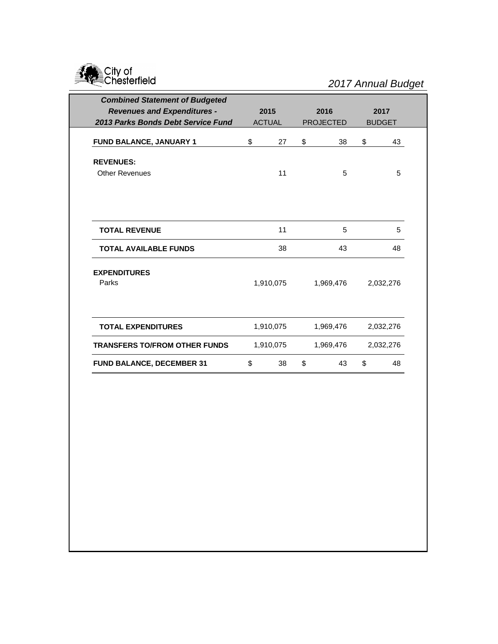

| <b>Combined Statement of Budgeted</b> |               |                  |      |               |  |
|---------------------------------------|---------------|------------------|------|---------------|--|
| <b>Revenues and Expenditures -</b>    | 2015          | 2016             | 2017 |               |  |
| 2013 Parks Bonds Debt Service Fund    | <b>ACTUAL</b> | <b>PROJECTED</b> |      | <b>BUDGET</b> |  |
|                                       |               |                  |      |               |  |
| FUND BALANCE, JANUARY 1               | \$<br>27      | \$<br>38         | \$   | 43            |  |
| <b>REVENUES:</b>                      |               |                  |      |               |  |
| <b>Other Revenues</b>                 | 11            | 5                |      | 5             |  |
|                                       |               |                  |      |               |  |
|                                       |               |                  |      |               |  |
|                                       |               |                  |      |               |  |
| <b>TOTAL REVENUE</b>                  | 11            | 5                |      | 5             |  |
| <b>TOTAL AVAILABLE FUNDS</b>          | 38            | 43               |      | 48            |  |
| <b>EXPENDITURES</b>                   |               |                  |      |               |  |
| Parks                                 | 1,910,075     | 1,969,476        |      | 2,032,276     |  |
|                                       |               |                  |      |               |  |
|                                       |               |                  |      |               |  |
| <b>TOTAL EXPENDITURES</b>             | 1,910,075     | 1,969,476        |      | 2,032,276     |  |
| <b>TRANSFERS TO/FROM OTHER FUNDS</b>  | 1,910,075     | 1,969,476        |      | 2,032,276     |  |
| <b>FUND BALANCE, DECEMBER 31</b>      | \$<br>38      | \$<br>43         | \$   | 48            |  |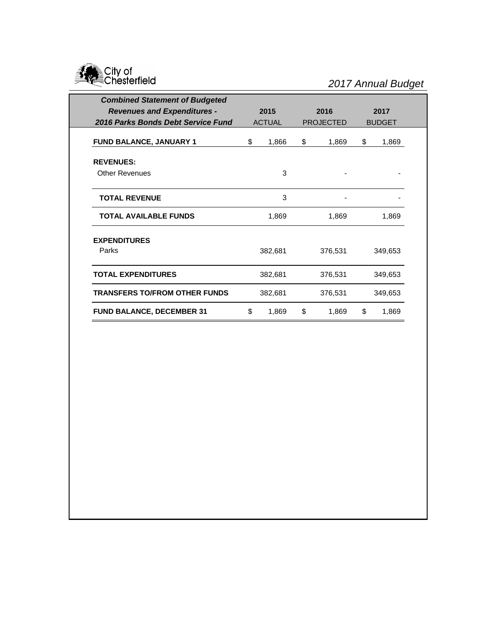

| <b>Combined Statement of Budgeted</b><br><b>Revenues and Expenditures -</b><br>2016 Parks Bonds Debt Service Fund |         | 2015<br><b>ACTUAL</b> |    | 2016<br><b>PROJECTED</b> | 2017<br><b>BUDGET</b> |         |         |  |
|-------------------------------------------------------------------------------------------------------------------|---------|-----------------------|----|--------------------------|-----------------------|---------|---------|--|
| FUND BALANCE, JANUARY 1                                                                                           |         | 1,866                 | \$ | 1,869                    | \$                    | 1,869   |         |  |
| <b>REVENUES:</b>                                                                                                  |         |                       |    |                          |                       |         |         |  |
| <b>Other Revenues</b>                                                                                             |         | 3                     |    |                          |                       |         |         |  |
| <b>TOTAL REVENUE</b>                                                                                              |         | 3                     |    |                          |                       |         |         |  |
| <b>TOTAL AVAILABLE FUNDS</b>                                                                                      | 1,869   |                       |    | 1,869                    |                       | 1,869   |         |  |
| <b>EXPENDITURES</b>                                                                                               |         |                       |    |                          |                       |         |         |  |
| Parks                                                                                                             |         | 382,681               |    | 376,531                  |                       | 349,653 |         |  |
| <b>TOTAL EXPENDITURES</b>                                                                                         | 382,681 |                       |    |                          | 376,531               |         | 349,653 |  |
| <b>TRANSFERS TO/FROM OTHER FUNDS</b>                                                                              |         | 382,681               |    | 376,531                  |                       | 349,653 |         |  |
| <b>FUND BALANCE, DECEMBER 31</b>                                                                                  | \$      | 1,869                 | \$ | 1,869                    | \$                    | 1,869   |         |  |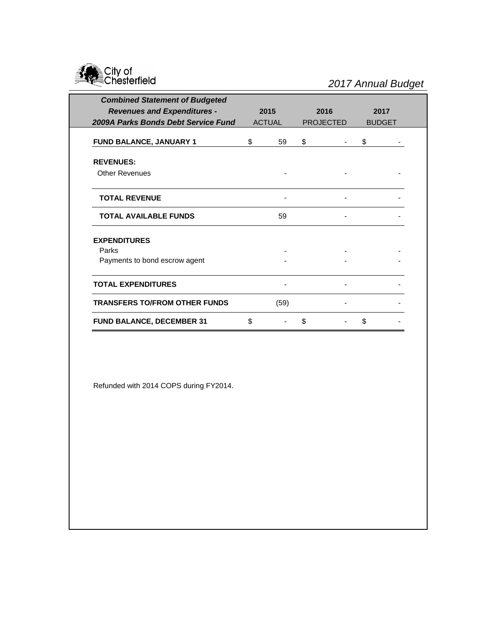

| <b>Combined Statement of Budgeted</b> |               |      |                  |  |               |  |
|---------------------------------------|---------------|------|------------------|--|---------------|--|
| <b>Revenues and Expenditures -</b>    | 2015          |      | 2016             |  | 2017          |  |
| 2009A Parks Bonds Debt Service Fund   | <b>ACTUAL</b> |      | <b>PROJECTED</b> |  | <b>BUDGET</b> |  |
| FUND BALANCE, JANUARY 1               | \$            | 59   | \$               |  | \$            |  |
| <b>REVENUES:</b>                      |               |      |                  |  |               |  |
| <b>Other Revenues</b>                 |               |      |                  |  |               |  |
| <b>TOTAL REVENUE</b>                  |               |      |                  |  |               |  |
| <b>TOTAL AVAILABLE FUNDS</b>          |               | 59   |                  |  |               |  |
| <b>EXPENDITURES</b>                   |               |      |                  |  |               |  |
| Parks                                 |               |      |                  |  |               |  |
| Payments to bond escrow agent         |               |      |                  |  |               |  |
| <b>TOTAL EXPENDITURES</b>             |               |      |                  |  |               |  |
| <b>TRANSFERS TO/FROM OTHER FUNDS</b>  |               | (59) |                  |  |               |  |
| <b>FUND BALANCE, DECEMBER 31</b>      | \$            |      | \$               |  | \$            |  |

Refunded with 2014 COPS during FY2014.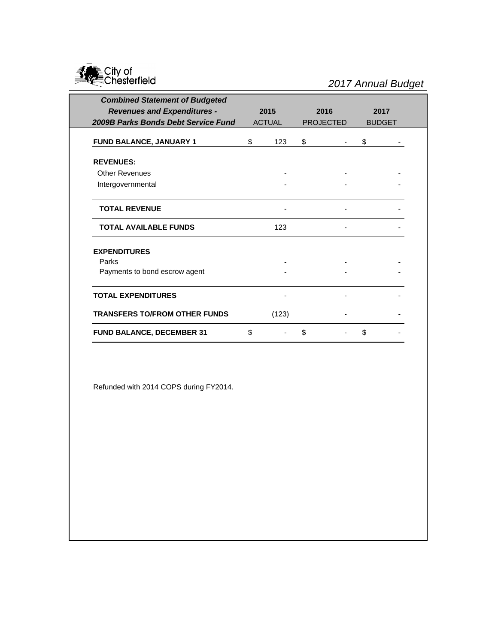

| <b>Combined Statement of Budgeted</b> |               |       |                  |      |               |      |
|---------------------------------------|---------------|-------|------------------|------|---------------|------|
| <b>Revenues and Expenditures -</b>    |               | 2015  |                  | 2016 |               | 2017 |
| 2009B Parks Bonds Debt Service Fund   | <b>ACTUAL</b> |       | <b>PROJECTED</b> |      | <b>BUDGET</b> |      |
| FUND BALANCE, JANUARY 1               | \$            | 123   | \$               |      | \$            |      |
| <b>REVENUES:</b>                      |               |       |                  |      |               |      |
| <b>Other Revenues</b>                 |               |       |                  |      |               |      |
| Intergovernmental                     |               |       |                  |      |               |      |
| <b>TOTAL REVENUE</b>                  |               |       |                  |      |               |      |
| <b>TOTAL AVAILABLE FUNDS</b>          |               | 123   |                  |      |               |      |
| <b>EXPENDITURES</b>                   |               |       |                  |      |               |      |
| Parks                                 |               |       |                  |      |               |      |
| Payments to bond escrow agent         |               |       |                  |      |               |      |
| <b>TOTAL EXPENDITURES</b>             |               |       |                  |      |               |      |
| <b>TRANSFERS TO/FROM OTHER FUNDS</b>  |               | (123) |                  |      |               |      |
| <b>FUND BALANCE, DECEMBER 31</b>      | \$            |       | \$               |      | \$            |      |

Refunded with 2014 COPS during FY2014.